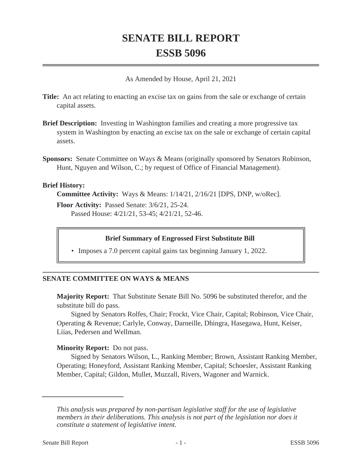# **SENATE BILL REPORT ESSB 5096**

As Amended by House, April 21, 2021

**Title:** An act relating to enacting an excise tax on gains from the sale or exchange of certain capital assets.

- **Brief Description:** Investing in Washington families and creating a more progressive tax system in Washington by enacting an excise tax on the sale or exchange of certain capital assets.
- **Sponsors:** Senate Committee on Ways & Means (originally sponsored by Senators Robinson, Hunt, Nguyen and Wilson, C.; by request of Office of Financial Management).

### **Brief History:**

**Committee Activity:** Ways & Means: 1/14/21, 2/16/21 [DPS, DNP, w/oRec].

**Floor Activity:** Passed Senate: 3/6/21, 25-24. Passed House: 4/21/21, 53-45; 4/21/21, 52-46.

### **Brief Summary of Engrossed First Substitute Bill**

• Imposes a 7.0 percent capital gains tax beginning January 1, 2022.

### **SENATE COMMITTEE ON WAYS & MEANS**

**Majority Report:** That Substitute Senate Bill No. 5096 be substituted therefor, and the substitute bill do pass.

Signed by Senators Rolfes, Chair; Frockt, Vice Chair, Capital; Robinson, Vice Chair, Operating & Revenue; Carlyle, Conway, Darneille, Dhingra, Hasegawa, Hunt, Keiser, Liias, Pedersen and Wellman.

### **Minority Report:** Do not pass.

Signed by Senators Wilson, L., Ranking Member; Brown, Assistant Ranking Member, Operating; Honeyford, Assistant Ranking Member, Capital; Schoesler, Assistant Ranking Member, Capital; Gildon, Mullet, Muzzall, Rivers, Wagoner and Warnick.

*This analysis was prepared by non-partisan legislative staff for the use of legislative members in their deliberations. This analysis is not part of the legislation nor does it constitute a statement of legislative intent.*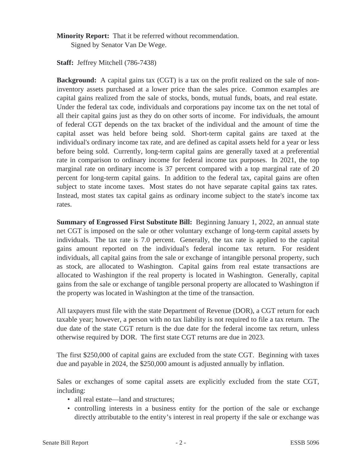**Minority Report:** That it be referred without recommendation. Signed by Senator Van De Wege.

**Staff:** Jeffrey Mitchell (786-7438)

**Background:** A capital gains tax (CGT) is a tax on the profit realized on the sale of noninventory assets purchased at a lower price than the sales price. Common examples are capital gains realized from the sale of stocks, bonds, mutual funds, boats, and real estate. Under the federal tax code, individuals and corporations pay income tax on the net total of all their capital gains just as they do on other sorts of income. For individuals, the amount of federal CGT depends on the tax bracket of the individual and the amount of time the capital asset was held before being sold. Short-term capital gains are taxed at the individual's ordinary income tax rate, and are defined as capital assets held for a year or less before being sold. Currently, long-term capital gains are generally taxed at a preferential rate in comparison to ordinary income for federal income tax purposes. In 2021, the top marginal rate on ordinary income is 37 percent compared with a top marginal rate of 20 percent for long-term capital gains. In addition to the federal tax, capital gains are often subject to state income taxes. Most states do not have separate capital gains tax rates. Instead, most states tax capital gains as ordinary income subject to the state's income tax rates.

**Summary of Engrossed First Substitute Bill:** Beginning January 1, 2022, an annual state net CGT is imposed on the sale or other voluntary exchange of long-term capital assets by individuals. The tax rate is 7.0 percent. Generally, the tax rate is applied to the capital gains amount reported on the individual's federal income tax return. For resident individuals, all capital gains from the sale or exchange of intangible personal property, such as stock, are allocated to Washington. Capital gains from real estate transactions are allocated to Washington if the real property is located in Washington. Generally, capital gains from the sale or exchange of tangible personal property are allocated to Washington if the property was located in Washington at the time of the transaction.

All taxpayers must file with the state Department of Revenue (DOR), a CGT return for each taxable year; however, a person with no tax liability is not required to file a tax return. The due date of the state CGT return is the due date for the federal income tax return, unless otherwise required by DOR. The first state CGT returns are due in 2023.

The first \$250,000 of capital gains are excluded from the state CGT. Beginning with taxes due and payable in 2024, the \$250,000 amount is adjusted annually by inflation.

Sales or exchanges of some capital assets are explicitly excluded from the state CGT, including:

- all real estate—land and structures;
- controlling interests in a business entity for the portion of the sale or exchange directly attributable to the entity's interest in real property if the sale or exchange was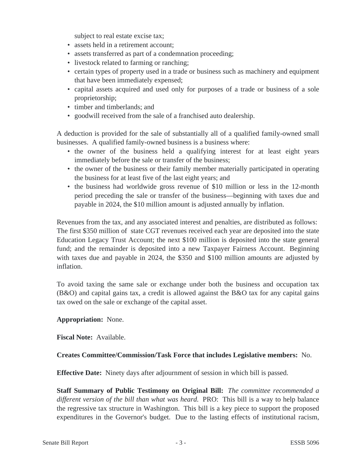subject to real estate excise tax;

- assets held in a retirement account;
- assets transferred as part of a condemnation proceeding;
- livestock related to farming or ranching;
- certain types of property used in a trade or business such as machinery and equipment that have been immediately expensed;
- capital assets acquired and used only for purposes of a trade or business of a sole proprietorship;
- timber and timberlands; and
- goodwill received from the sale of a franchised auto dealership.

A deduction is provided for the sale of substantially all of a qualified family-owned small businesses. A qualified family-owned business is a business where:

- the owner of the business held a qualifying interest for at least eight years immediately before the sale or transfer of the business;
- the owner of the business or their family member materially participated in operating the business for at least five of the last eight years; and
- the business had worldwide gross revenue of \$10 million or less in the 12-month period preceding the sale or transfer of the business—beginning with taxes due and payable in 2024, the \$10 million amount is adjusted annually by inflation.

Revenues from the tax, and any associated interest and penalties, are distributed as follows: The first \$350 million of state CGT revenues received each year are deposited into the state Education Legacy Trust Account; the next \$100 million is deposited into the state general fund; and the remainder is deposited into a new Taxpayer Fairness Account. Beginning with taxes due and payable in 2024, the \$350 and \$100 million amounts are adjusted by inflation.

To avoid taxing the same sale or exchange under both the business and occupation tax  $(B&O)$  and capital gains tax, a credit is allowed against the  $B&O$  tax for any capital gains tax owed on the sale or exchange of the capital asset.

# **Appropriation:** None.

**Fiscal Note:** Available.

# **Creates Committee/Commission/Task Force that includes Legislative members:** No.

**Effective Date:** Ninety days after adjournment of session in which bill is passed.

**Staff Summary of Public Testimony on Original Bill:** *The committee recommended a different version of the bill than what was heard.* PRO: This bill is a way to help balance the regressive tax structure in Washington. This bill is a key piece to support the proposed expenditures in the Governor's budget. Due to the lasting effects of institutional racism,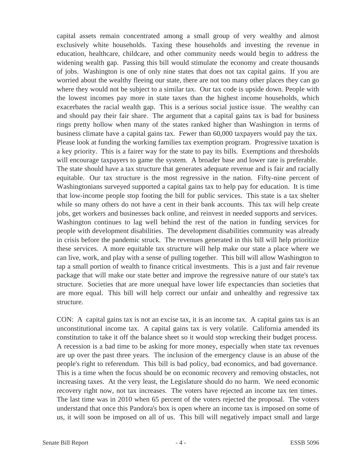capital assets remain concentrated among a small group of very wealthy and almost exclusively white households. Taxing these households and investing the revenue in education, healthcare, childcare, and other community needs would begin to address the widening wealth gap. Passing this bill would stimulate the economy and create thousands of jobs. Washington is one of only nine states that does not tax capital gains. If you are worried about the wealthy fleeing our state, there are not too many other places they can go where they would not be subject to a similar tax. Our tax code is upside down. People with the lowest incomes pay more in state taxes than the highest income households, which exacerbates the racial wealth gap. This is a serious social justice issue. The wealthy can and should pay their fair share. The argument that a capital gains tax is bad for business rings pretty hollow when many of the states ranked higher than Washington in terms of business climate have a capital gains tax. Fewer than 60,000 taxpayers would pay the tax. Please look at funding the working families tax exemption program. Progressive taxation is a key priority. This is a fairer way for the state to pay its bills. Exemptions and thresholds will encourage taxpayers to game the system. A broader base and lower rate is preferable. The state should have a tax structure that generates adequate revenue and is fair and racially equitable. Our tax structure is the most regressive in the nation. Fifty-nine percent of Washingtonians surveyed supported a capital gains tax to help pay for education. It is time that low-income people stop footing the bill for public services. This state is a tax shelter while so many others do not have a cent in their bank accounts. This tax will help create jobs, get workers and businesses back online, and reinvest in needed supports and services. Washington continues to lag well behind the rest of the nation in funding services for people with development disabilities. The development disabilities community was already in crisis before the pandemic struck. The revenues generated in this bill will help prioritize these services. A more equitable tax structure will help make our state a place where we can live, work, and play with a sense of pulling together. This bill will allow Washington to tap a small portion of wealth to finance critical investments. This is a just and fair revenue package that will make our state better and improve the regressive nature of our state's tax structure. Societies that are more unequal have lower life expectancies than societies that are more equal. This bill will help correct our unfair and unhealthy and regressive tax structure.

CON: A capital gains tax is not an excise tax, it is an income tax. A capital gains tax is an unconstitutional income tax. A capital gains tax is very volatile. California amended its constitution to take it off the balance sheet so it would stop wrecking their budget process. A recession is a bad time to be asking for more money, especially when state tax revenues are up over the past three years. The inclusion of the emergency clause is an abuse of the people's right to referendum. This bill is bad policy, bad economics, and bad governance. This is a time when the focus should be on economic recovery and removing obstacles, not increasing taxes. At the very least, the Legislature should do no harm. We need economic recovery right now, not tax increases. The voters have rejected an income tax ten times. The last time was in 2010 when 65 percent of the voters rejected the proposal. The voters understand that once this Pandora's box is open where an income tax is imposed on some of us, it will soon be imposed on all of us. This bill will negatively impact small and large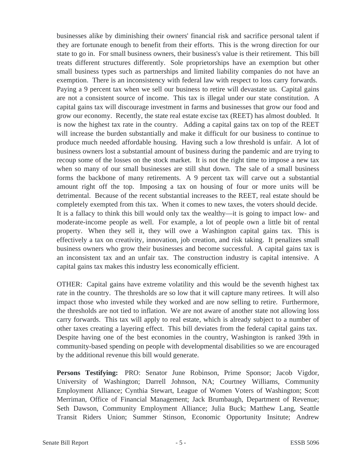businesses alike by diminishing their owners' financial risk and sacrifice personal talent if they are fortunate enough to benefit from their efforts. This is the wrong direction for our state to go in. For small business owners, their business's value is their retirement. This bill treats different structures differently. Sole proprietorships have an exemption but other small business types such as partnerships and limited liability companies do not have an exemption. There is an inconsistency with federal law with respect to loss carry forwards. Paying a 9 percent tax when we sell our business to retire will devastate us. Capital gains are not a consistent source of income. This tax is illegal under our state constitution. A capital gains tax will discourage investment in farms and businesses that grow our food and grow our economy. Recently, the state real estate excise tax (REET) has almost doubled. It is now the highest tax rate in the country. Adding a capital gains tax on top of the REET will increase the burden substantially and make it difficult for our business to continue to produce much needed affordable housing. Having such a low threshold is unfair. A lot of business owners lost a substantial amount of business during the pandemic and are trying to recoup some of the losses on the stock market. It is not the right time to impose a new tax when so many of our small businesses are still shut down. The sale of a small business forms the backbone of many retirements. A 9 percent tax will carve out a substantial amount right off the top. Imposing a tax on housing of four or more units will be detrimental. Because of the recent substantial increases to the REET, real estate should be completely exempted from this tax. When it comes to new taxes, the voters should decide. It is a fallacy to think this bill would only tax the wealthy—it is going to impact low- and moderate-income people as well. For example, a lot of people own a little bit of rental property. When they sell it, they will owe a Washington capital gains tax. This is effectively a tax on creativity, innovation, job creation, and risk taking. It penalizes small business owners who grow their businesses and become successful. A capital gains tax is an inconsistent tax and an unfair tax. The construction industry is capital intensive. A capital gains tax makes this industry less economically efficient.

OTHER: Capital gains have extreme volatility and this would be the seventh highest tax rate in the country. The thresholds are so low that it will capture many retirees. It will also impact those who invested while they worked and are now selling to retire. Furthermore, the thresholds are not tied to inflation. We are not aware of another state not allowing loss carry forwards. This tax will apply to real estate, which is already subject to a number of other taxes creating a layering effect. This bill deviates from the federal capital gains tax. Despite having one of the best economies in the country, Washington is ranked 39th in community-based spending on people with developmental disabilities so we are encouraged by the additional revenue this bill would generate.

**Persons Testifying:** PRO: Senator June Robinson, Prime Sponsor; Jacob Vigdor, University of Washington; Darrell Johnson, NA; Courtney Williams, Community Employment Alliance; Cynthia Stewart, League of Women Voters of Washington; Scott Merriman, Office of Financial Management; Jack Brumbaugh, Department of Revenue; Seth Dawson, Community Employment Alliance; Julia Buck; Matthew Lang, Seattle Transit Riders Union; Summer Stinson, Economic Opportunity Insitute; Andrew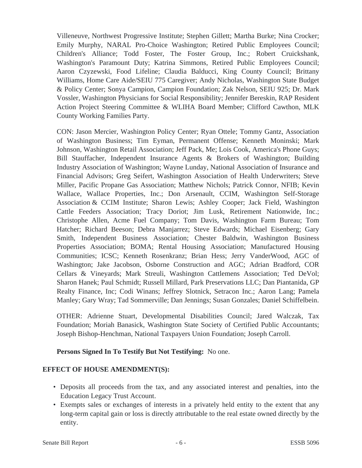Villeneuve, Northwest Progressive Institute; Stephen Gillett; Martha Burke; Nina Crocker; Emily Murphy, NARAL Pro-Choice Washington; Retired Public Employees Council; Children's Alliance; Todd Foster, The Foster Group, Inc.; Robert Cruickshank, Washington's Paramount Duty; Katrina Simmons, Retired Public Employees Council; Aaron Czyzewski, Food Lifeline; Claudia Balducci, King County Council; Brittany Williams, Home Care Aide/SEIU 775 Caregiver; Andy Nicholas, Washington State Budget & Policy Center; Sonya Campion, Campion Foundation; Zak Nelson, SEIU 925; Dr. Mark Vossler, Washington Physicians for Social Responsibility; Jennifer Bereskin, RAP Resident Action Project Steering Committee & WLIHA Board Member; Clifford Cawthon, MLK County Working Families Party.

CON: Jason Mercier, Washington Policy Center; Ryan Ottele; Tommy Gantz, Association of Washington Business; Tim Eyman, Permanent Offense; Kenneth Moninski; Mark Johnson, Washington Retail Association; Jeff Pack, Me; Lois Cook, America's Phone Guys; Bill Stauffacher, Independent Insurance Agents & Brokers of Washington; Building Industry Association of Washington; Wayne Lunday, National Association of Insurance and Financial Advisors; Greg Seifert, Washington Association of Health Underwriters; Steve Miller, Pacific Propane Gas Association; Matthew Nichols; Patrick Connor, NFIB; Kevin Wallace, Wallace Properties, Inc.; Don Arsenault, CCIM, Washington Self-Storage Association & CCIM Institute; Sharon Lewis; Ashley Cooper; Jack Field, Washington Cattle Feeders Association; Tracy Doriot; Jim Lusk, Retirement Nationwide, Inc.; Christophe Allen, Acme Fuel Company; Tom Davis, Washington Farm Bureau; Tom Hatcher; Richard Beeson; Debra Manjarrez; Steve Edwards; Michael Eisenberg; Gary Smith, Independent Business Association; Chester Baldwin, Washington Business Properties Association; BOMA; Rental Housing Association; Manufactured Housing Communities; ICSC; Kenneth Rosenkranz; Brian Hess; Jerry VanderWood, AGC of Washington; Jake Jacobson, Osborne Construction and AGC; Adrian Bradford, COR Cellars & Vineyards; Mark Streuli, Washington Cattlemens Association; Ted DeVol; Sharon Hanek; Paul Schmidt; Russell Millard, Park Preservations LLC; Dan Piantanida, GP Realty Finance, Inc; Codi Winans; Jeffrey Slotnick, Setracon Inc.; Aaron Lang; Pamela Manley; Gary Wray; Tad Sommerville; Dan Jennings; Susan Gonzales; Daniel Schiffelbein.

OTHER: Adrienne Stuart, Developmental Disabilities Council; Jared Walczak, Tax Foundation; Moriah Banasick, Washington State Society of Certified Public Accountants; Joseph Bishop-Henchman, National Taxpayers Union Foundation; Joseph Carroll.

# **Persons Signed In To Testify But Not Testifying:** No one.

# **EFFECT OF HOUSE AMENDMENT(S):**

- Deposits all proceeds from the tax, and any associated interest and penalties, into the Education Legacy Trust Account.
- Exempts sales or exchanges of interests in a privately held entity to the extent that any long-term capital gain or loss is directly attributable to the real estate owned directly by the entity.